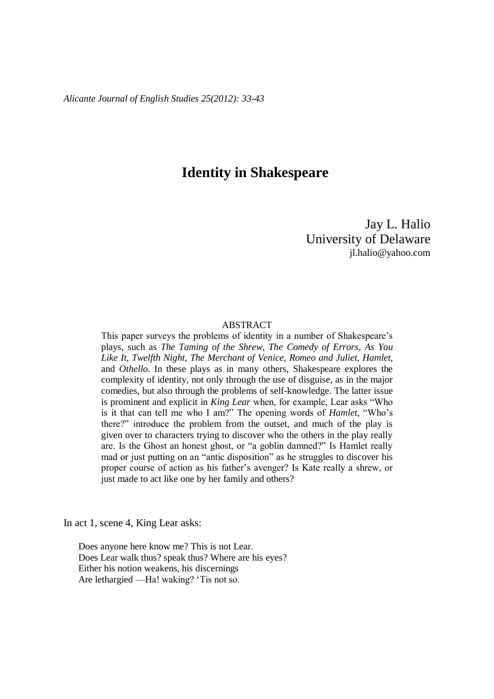# **Identity in Shakespeare**

Jay L. Halio University of Delaware jl.halio@yahoo.com

## ABSTRACT

This paper surveys the problems of identity in a number of Shakespeare's plays, such as *The Taming of the Shrew*, *The Comedy of Errors*, *As You Like It*, *Twelfth Night*, *The Merchant of Venice*, *Romeo and Juliet*, *Hamlet*, and *Othello*. In these plays as in many others, Shakespeare explores the complexity of identity, not only through the use of disguise, as in the major comedies, but also through the problems of self-knowledge. The latter issue is prominent and explicit in *King Lear* when, for example, Lear asks "Who is it that can tell me who I am?" The opening words of *Hamlet*, "Who's there?" introduce the problem from the outset, and much of the play is given over to characters trying to discover who the others in the play really are. Is the Ghost an honest ghost, or "a goblin damned?" Is Hamlet really mad or just putting on an "antic disposition" as he struggles to discover his proper course of action as his father's avenger? Is Kate really a shrew, or just made to act like one by her family and others?

In act 1, scene 4, King Lear asks:

Does anyone here know me? This is not Lear. Does Lear walk thus? speak thus? Where are his eyes? Either his notion weakens, his discernings Are lethargied —Ha! waking? 'Tis not so.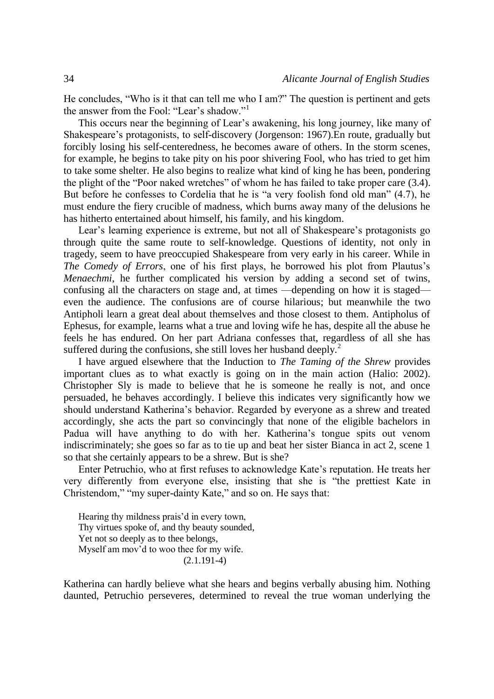He concludes, "Who is it that can tell me who I am?" The question is pertinent and gets the answer from the Fool: "Lear's shadow."<sup>1</sup>

This occurs near the beginning of Lear's awakening, his long journey, like many of Shakespeare's protagonists, to self-discovery (Jorgenson: 1967).En route, gradually but forcibly losing his self-centeredness, he becomes aware of others. In the storm scenes, for example, he begins to take pity on his poor shivering Fool, who has tried to get him to take some shelter. He also begins to realize what kind of king he has been, pondering the plight of the "Poor naked wretches" of whom he has failed to take proper care (3.4). But before he confesses to Cordelia that he is "a very foolish fond old man" (4.7), he must endure the fiery crucible of madness, which burns away many of the delusions he has hitherto entertained about himself, his family, and his kingdom.

Lear's learning experience is extreme, but not all of Shakespeare's protagonists go through quite the same route to self-knowledge. Questions of identity, not only in tragedy, seem to have preoccupied Shakespeare from very early in his career. While in *The Comedy of Errors*, one of his first plays, he borrowed his plot from Plautus's *Menaechmi*, he further complicated his version by adding a second set of twins, confusing all the characters on stage and, at times —depending on how it is staged even the audience. The confusions are of course hilarious; but meanwhile the two Antipholi learn a great deal about themselves and those closest to them. Antipholus of Ephesus, for example, learns what a true and loving wife he has, despite all the abuse he feels he has endured. On her part Adriana confesses that, regardless of all she has suffered during the confusions, she still loves her husband deeply. $<sup>2</sup>$ </sup>

I have argued elsewhere that the Induction to *The Taming of the Shrew* provides important clues as to what exactly is going on in the main action (Halio: 2002). Christopher Sly is made to believe that he is someone he really is not, and once persuaded, he behaves accordingly. I believe this indicates very significantly how we should understand Katherina's behavior. Regarded by everyone as a shrew and treated accordingly, she acts the part so convincingly that none of the eligible bachelors in Padua will have anything to do with her. Katherina's tongue spits out venom indiscriminately; she goes so far as to tie up and beat her sister Bianca in act 2, scene 1 so that she certainly appears to be a shrew. But is she?

Enter Petruchio, who at first refuses to acknowledge Kate's reputation. He treats her very differently from everyone else, insisting that she is "the prettiest Kate in Christendom," "my super-dainty Kate," and so on. He says that:

Hearing thy mildness prais'd in every town, Thy virtues spoke of, and thy beauty sounded, Yet not so deeply as to thee belongs, Myself am mov'd to woo thee for my wife. (2.1.191-4)

Katherina can hardly believe what she hears and begins verbally abusing him. Nothing daunted, Petruchio perseveres, determined to reveal the true woman underlying the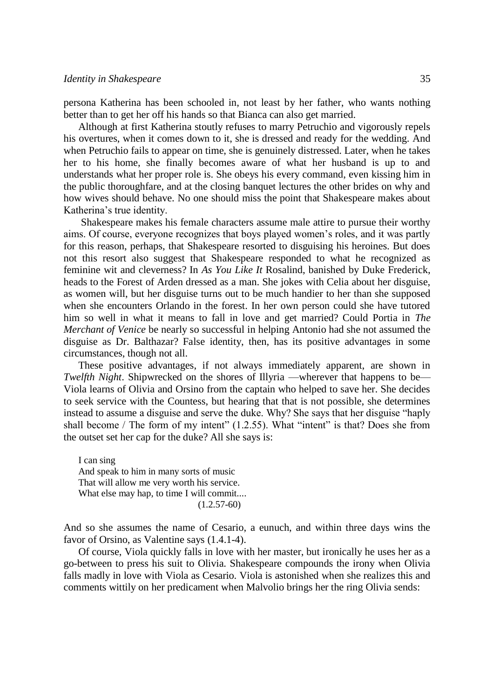persona Katherina has been schooled in, not least by her father, who wants nothing better than to get her off his hands so that Bianca can also get married.

Although at first Katherina stoutly refuses to marry Petruchio and vigorously repels his overtures, when it comes down to it, she is dressed and ready for the wedding. And when Petruchio fails to appear on time, she is genuinely distressed. Later, when he takes her to his home, she finally becomes aware of what her husband is up to and understands what her proper role is. She obeys his every command, even kissing him in the public thoroughfare, and at the closing banquet lectures the other brides on why and how wives should behave. No one should miss the point that Shakespeare makes about Katherina's true identity.

Shakespeare makes his female characters assume male attire to pursue their worthy aims. Of course, everyone recognizes that boys played women's roles, and it was partly for this reason, perhaps, that Shakespeare resorted to disguising his heroines. But does not this resort also suggest that Shakespeare responded to what he recognized as feminine wit and cleverness? In *As You Like It* Rosalind, banished by Duke Frederick, heads to the Forest of Arden dressed as a man. She jokes with Celia about her disguise, as women will, but her disguise turns out to be much handier to her than she supposed when she encounters Orlando in the forest. In her own person could she have tutored him so well in what it means to fall in love and get married? Could Portia in *The Merchant of Venice* be nearly so successful in helping Antonio had she not assumed the disguise as Dr. Balthazar? False identity, then, has its positive advantages in some circumstances, though not all.

These positive advantages, if not always immediately apparent, are shown in *Twelfth Night*. Shipwrecked on the shores of Illyria —wherever that happens to be— Viola learns of Olivia and Orsino from the captain who helped to save her. She decides to seek service with the Countess, but hearing that that is not possible, she determines instead to assume a disguise and serve the duke. Why? She says that her disguise "haply shall become / The form of my intent" (1.2.55). What "intent" is that? Does she from the outset set her cap for the duke? All she says is:

I can sing And speak to him in many sorts of music That will allow me very worth his service. What else may hap, to time I will commit....  $(1.2.57-60)$ 

And so she assumes the name of Cesario, a eunuch, and within three days wins the favor of Orsino, as Valentine says (1.4.1-4).

Of course, Viola quickly falls in love with her master, but ironically he uses her as a go-between to press his suit to Olivia. Shakespeare compounds the irony when Olivia falls madly in love with Viola as Cesario. Viola is astonished when she realizes this and comments wittily on her predicament when Malvolio brings her the ring Olivia sends: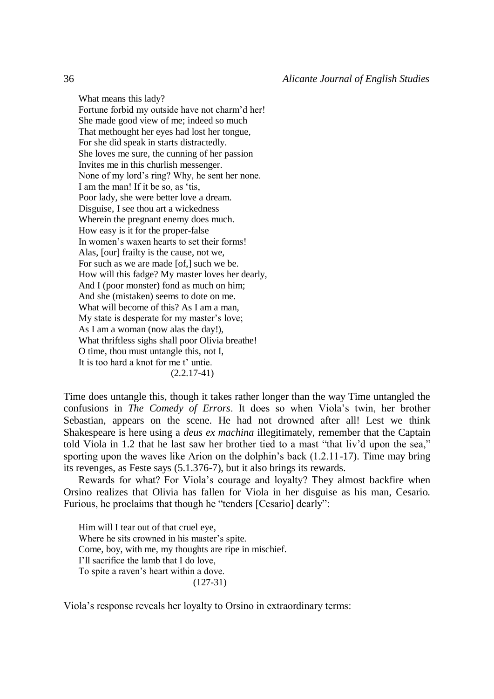What means this lady? Fortune forbid my outside have not charm'd her! She made good view of me; indeed so much That methought her eyes had lost her tongue, For she did speak in starts distractedly. She loves me sure, the cunning of her passion Invites me in this churlish messenger. None of my lord's ring? Why, he sent her none. I am the man! If it be so, as 'tis, Poor lady, she were better love a dream. Disguise, I see thou art a wickedness Wherein the pregnant enemy does much. How easy is it for the proper-false In women's waxen hearts to set their forms! Alas, [our] frailty is the cause, not we, For such as we are made [of,] such we be. How will this fadge? My master loves her dearly, And I (poor monster) fond as much on him; And she (mistaken) seems to dote on me. What will become of this? As I am a man, My state is desperate for my master's love; As I am a woman (now alas the day!), What thriftless sighs shall poor Olivia breathe! O time, thou must untangle this, not I, It is too hard a knot for me t' untie.  $(2.2.17-41)$ 

Time does untangle this, though it takes rather longer than the way Time untangled the confusions in *The Comedy of Errors*. It does so when Viola's twin, her brother Sebastian, appears on the scene. He had not drowned after all! Lest we think Shakespeare is here using a *deus ex machina* illegitimately, remember that the Captain told Viola in 1.2 that he last saw her brother tied to a mast "that liv'd upon the sea," sporting upon the waves like Arion on the dolphin's back (1.2.11-17). Time may bring its revenges, as Feste says (5.1.376-7), but it also brings its rewards.

Rewards for what? For Viola's courage and loyalty? They almost backfire when Orsino realizes that Olivia has fallen for Viola in her disguise as his man, Cesario. Furious, he proclaims that though he "tenders [Cesario] dearly":

Him will I tear out of that cruel eye, Where he sits crowned in his master's spite. Come, boy, with me, my thoughts are ripe in mischief. I'll sacrifice the lamb that I do love, To spite a raven's heart within a dove. (127-31)

Viola's response reveals her loyalty to Orsino in extraordinary terms: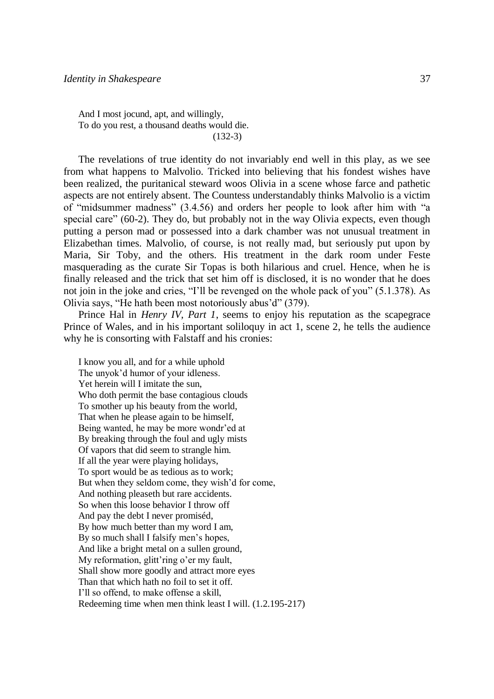And I most jocund, apt, and willingly, To do you rest, a thousand deaths would die. (132-3)

The revelations of true identity do not invariably end well in this play, as we see from what happens to Malvolio. Tricked into believing that his fondest wishes have been realized, the puritanical steward woos Olivia in a scene whose farce and pathetic aspects are not entirely absent. The Countess understandably thinks Malvolio is a victim of "midsummer madness" (3.4.56) and orders her people to look after him with "a special care" (60-2). They do, but probably not in the way Olivia expects, even though putting a person mad or possessed into a dark chamber was not unusual treatment in Elizabethan times. Malvolio, of course, is not really mad, but seriously put upon by Maria, Sir Toby, and the others. His treatment in the dark room under Feste masquerading as the curate Sir Topas is both hilarious and cruel. Hence, when he is finally released and the trick that set him off is disclosed, it is no wonder that he does not join in the joke and cries, "I'll be revenged on the whole pack of you" (5.1.378). As Olivia says, "He hath been most notoriously abus'd" (379).

Prince Hal in *Henry IV, Part 1*, seems to enjoy his reputation as the scapegrace Prince of Wales, and in his important soliloquy in act 1, scene 2, he tells the audience why he is consorting with Falstaff and his cronies:

I know you all, and for a while uphold The unyok'd humor of your idleness. Yet herein will I imitate the sun, Who doth permit the base contagious clouds To smother up his beauty from the world, That when he please again to be himself, Being wanted, he may be more wondr'ed at By breaking through the foul and ugly mists Of vapors that did seem to strangle him. If all the year were playing holidays, To sport would be as tedious as to work; But when they seldom come, they wish'd for come, And nothing pleaseth but rare accidents. So when this loose behavior I throw off And pay the debt I never promiséd, By how much better than my word I am, By so much shall I falsify men's hopes, And like a bright metal on a sullen ground, My reformation, glitt'ring o'er my fault, Shall show more goodly and attract more eyes Than that which hath no foil to set it off. I'll so offend, to make offense a skill, Redeeming time when men think least I will. (1.2.195-217)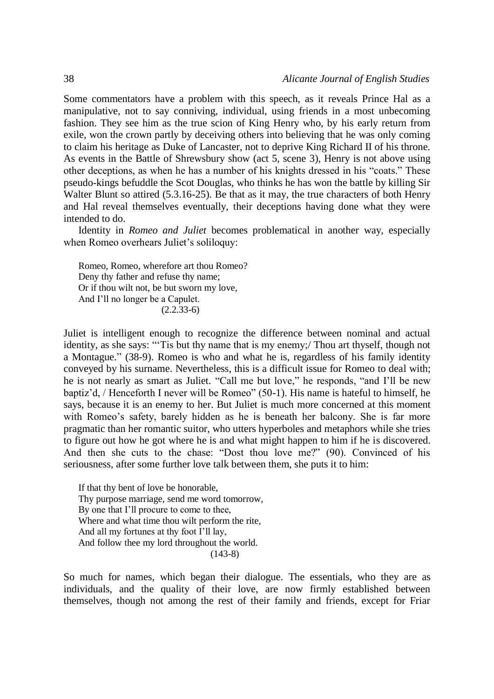Some commentators have a problem with this speech, as it reveals Prince Hal as a manipulative, not to say conniving, individual, using friends in a most unbecoming fashion. They see him as the true scion of King Henry who, by his early return from exile, won the crown partly by deceiving others into believing that he was only coming to claim his heritage as Duke of Lancaster, not to deprive King Richard II of his throne. As events in the Battle of Shrewsbury show (act 5, scene 3), Henry is not above using other deceptions, as when he has a number of his knights dressed in his "coats." These pseudo-kings befuddle the Scot Douglas, who thinks he has won the battle by killing Sir Walter Blunt so attired (5.3.16-25). Be that as it may, the true characters of both Henry and Hal reveal themselves eventually, their deceptions having done what they were intended to do.

Identity in *Romeo and Juliet* becomes problematical in another way, especially when Romeo overhears Juliet's soliloquy:

Romeo, Romeo, wherefore art thou Romeo? Deny thy father and refuse thy name; Or if thou wilt not, be but sworn my love, And I'll no longer be a Capulet.  $(2.2.33-6)$ 

Juliet is intelligent enough to recognize the difference between nominal and actual identity, as she says: "'Tis but thy name that is my enemy;/ Thou art thyself, though not a Montague." (38-9). Romeo is who and what he is, regardless of his family identity conveyed by his surname. Nevertheless, this is a difficult issue for Romeo to deal with; he is not nearly as smart as Juliet. "Call me but love," he responds, "and I'll be new baptiz'd, / Henceforth I never will be Romeo" (50-1). His name is hateful to himself, he says, because it is an enemy to her. But Juliet is much more concerned at this moment with Romeo's safety, barely hidden as he is beneath her balcony. She is far more pragmatic than her romantic suitor, who utters hyperboles and metaphors while she tries to figure out how he got where he is and what might happen to him if he is discovered. And then she cuts to the chase: "Dost thou love me?" (90). Convinced of his seriousness, after some further love talk between them, she puts it to him:

If that thy bent of love be honorable, Thy purpose marriage, send me word tomorrow, By one that I'll procure to come to thee, Where and what time thou wilt perform the rite, And all my fortunes at thy foot I'll lay, And follow thee my lord throughout the world. (143-8)

So much for names, which began their dialogue. The essentials, who they are as individuals, and the quality of their love, are now firmly established between themselves, though not among the rest of their family and friends, except for Friar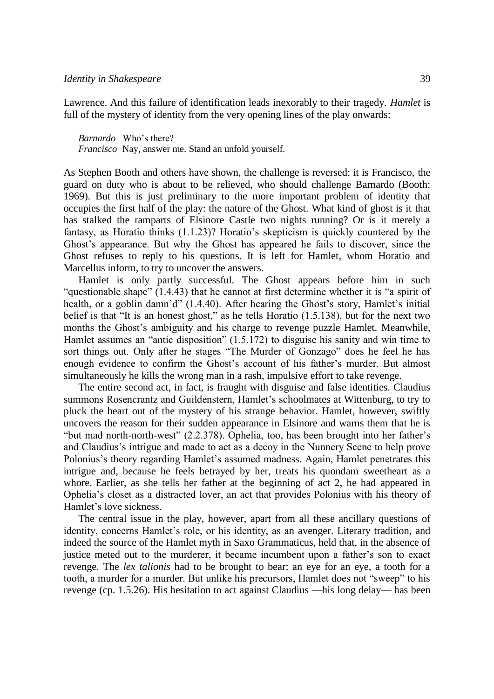Lawrence. And this failure of identification leads inexorably to their tragedy. *Hamlet* is full of the mystery of identity from the very opening lines of the play onwards:

*Barnardo* Who's there? *Francisco* Nay, answer me. Stand an unfold yourself.

As Stephen Booth and others have shown, the challenge is reversed: it is Francisco, the guard on duty who is about to be relieved, who should challenge Barnardo (Booth: 1969). But this is just preliminary to the more important problem of identity that occupies the first half of the play: the nature of the Ghost. What kind of ghost is it that has stalked the ramparts of Elsinore Castle two nights running? Or is it merely a fantasy, as Horatio thinks (1.1.23)? Horatio's skepticism is quickly countered by the Ghost's appearance. But why the Ghost has appeared he fails to discover, since the Ghost refuses to reply to his questions. It is left for Hamlet, whom Horatio and Marcellus inform, to try to uncover the answers.

Hamlet is only partly successful. The Ghost appears before him in such "questionable shape" (1.4.43) that he cannot at first determine whether it is "a spirit of health, or a goblin damn'd" (1.4.40). After hearing the Ghost's story, Hamlet's initial belief is that "It is an honest ghost," as he tells Horatio (1.5.138), but for the next two months the Ghost's ambiguity and his charge to revenge puzzle Hamlet. Meanwhile, Hamlet assumes an "antic disposition" (1.5.172) to disguise his sanity and win time to sort things out. Only after he stages "The Murder of Gonzago" does he feel he has enough evidence to confirm the Ghost's account of his father's murder. But almost simultaneously he kills the wrong man in a rash, impulsive effort to take revenge.

The entire second act, in fact, is fraught with disguise and false identities. Claudius summons Rosencrantz and Guildenstern, Hamlet's schoolmates at Wittenburg, to try to pluck the heart out of the mystery of his strange behavior. Hamlet, however, swiftly uncovers the reason for their sudden appearance in Elsinore and warns them that he is "but mad north-north-west" (2.2.378). Ophelia, too, has been brought into her father's and Claudius's intrigue and made to act as a decoy in the Nunnery Scene to help prove Polonius's theory regarding Hamlet's assumed madness. Again, Hamlet penetrates this intrigue and, because he feels betrayed by her, treats his quondam sweetheart as a whore. Earlier, as she tells her father at the beginning of act 2, he had appeared in Ophelia's closet as a distracted lover, an act that provides Polonius with his theory of Hamlet's love sickness.

The central issue in the play, however, apart from all these ancillary questions of identity, concerns Hamlet's role, or his identity, as an avenger. Literary tradition, and indeed the source of the Hamlet myth in Saxo Grammaticus, held that, in the absence of justice meted out to the murderer, it became incumbent upon a father's son to exact revenge. The *lex talionis* had to be brought to bear: an eye for an eye, a tooth for a tooth, a murder for a murder. But unlike his precursors, Hamlet does not "sweep" to his revenge (cp. 1.5.26). His hesitation to act against Claudius —his long delay— has been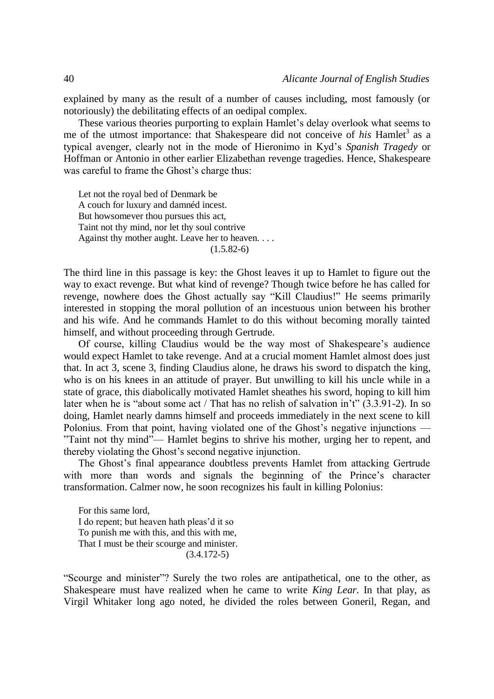explained by many as the result of a number of causes including, most famously (or notoriously) the debilitating effects of an oedipal complex.

These various theories purporting to explain Hamlet's delay overlook what seems to me of the utmost importance: that Shakespeare did not conceive of *his* Hamlet<sup>3</sup> as a typical avenger, clearly not in the mode of Hieronimo in Kyd's *Spanish Tragedy* or Hoffman or Antonio in other earlier Elizabethan revenge tragedies. Hence, Shakespeare was careful to frame the Ghost's charge thus:

Let not the royal bed of Denmark be A couch for luxury and damnéd incest. But howsomever thou pursues this act, Taint not thy mind, nor let thy soul contrive Against thy mother aught. Leave her to heaven. . . .  $(1.5.82-6)$ 

The third line in this passage is key: the Ghost leaves it up to Hamlet to figure out the way to exact revenge. But what kind of revenge? Though twice before he has called for revenge, nowhere does the Ghost actually say "Kill Claudius!" He seems primarily interested in stopping the moral pollution of an incestuous union between his brother and his wife. And he commands Hamlet to do this without becoming morally tainted himself, and without proceeding through Gertrude.

Of course, killing Claudius would be the way most of Shakespeare's audience would expect Hamlet to take revenge. And at a crucial moment Hamlet almost does just that. In act 3, scene 3, finding Claudius alone, he draws his sword to dispatch the king, who is on his knees in an attitude of prayer. But unwilling to kill his uncle while in a state of grace, this diabolically motivated Hamlet sheathes his sword, hoping to kill him later when he is "about some act / That has no relish of salvation in't" (3.3.91-2). In so doing, Hamlet nearly damns himself and proceeds immediately in the next scene to kill Polonius. From that point, having violated one of the Ghost's negative injunctions — "Taint not thy mind"— Hamlet begins to shrive his mother, urging her to repent, and thereby violating the Ghost's second negative injunction.

The Ghost's final appearance doubtless prevents Hamlet from attacking Gertrude with more than words and signals the beginning of the Prince's character transformation. Calmer now, he soon recognizes his fault in killing Polonius:

For this same lord, I do repent; but heaven hath pleas'd it so To punish me with this, and this with me, That I must be their scourge and minister. (3.4.172-5)

"Scourge and minister"? Surely the two roles are antipathetical, one to the other, as Shakespeare must have realized when he came to write *King Lear*. In that play, as Virgil Whitaker long ago noted, he divided the roles between Goneril, Regan, and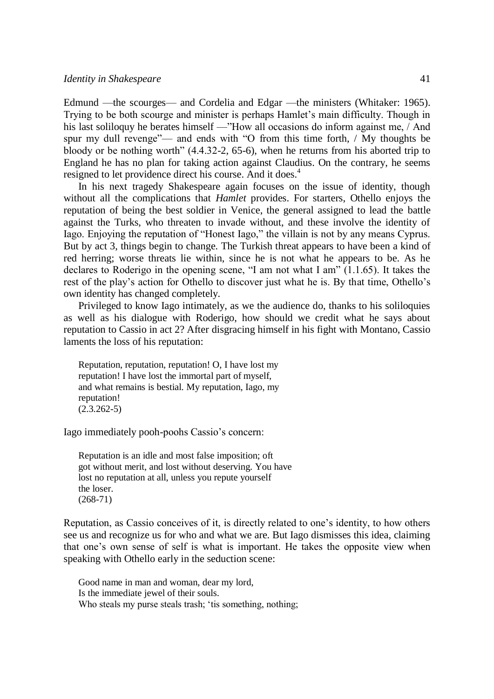Edmund —the scourges— and Cordelia and Edgar —the ministers (Whitaker: 1965). Trying to be both scourge and minister is perhaps Hamlet's main difficulty. Though in his last soliloquy he berates himself —"How all occasions do inform against me, / And spur my dull revenge"— and ends with "O from this time forth, / My thoughts be bloody or be nothing worth" (4.4.32-2, 65-6), when he returns from his aborted trip to England he has no plan for taking action against Claudius. On the contrary, he seems resigned to let providence direct his course. And it does.<sup>4</sup>

In his next tragedy Shakespeare again focuses on the issue of identity, though without all the complications that *Hamlet* provides. For starters, Othello enjoys the reputation of being the best soldier in Venice, the general assigned to lead the battle against the Turks, who threaten to invade without, and these involve the identity of Iago. Enjoying the reputation of "Honest Iago," the villain is not by any means Cyprus. But by act 3, things begin to change. The Turkish threat appears to have been a kind of red herring; worse threats lie within, since he is not what he appears to be. As he declares to Roderigo in the opening scene, "I am not what I am" (1.1.65). It takes the rest of the play's action for Othello to discover just what he is. By that time, Othello's own identity has changed completely.

Privileged to know Iago intimately, as we the audience do, thanks to his soliloquies as well as his dialogue with Roderigo, how should we credit what he says about reputation to Cassio in act 2? After disgracing himself in his fight with Montano, Cassio laments the loss of his reputation:

Reputation, reputation, reputation! O, I have lost my reputation! I have lost the immortal part of myself, and what remains is bestial. My reputation, Iago, my reputation!  $(2.3.262-5)$ 

Iago immediately pooh-poohs Cassio's concern:

Reputation is an idle and most false imposition; oft got without merit, and lost without deserving. You have lost no reputation at all, unless you repute yourself the loser. (268-71)

Reputation, as Cassio conceives of it, is directly related to one's identity, to how others see us and recognize us for who and what we are. But Iago dismisses this idea, claiming that one's own sense of self is what is important. He takes the opposite view when speaking with Othello early in the seduction scene:

Good name in man and woman, dear my lord, Is the immediate jewel of their souls. Who steals my purse steals trash; 'tis something, nothing;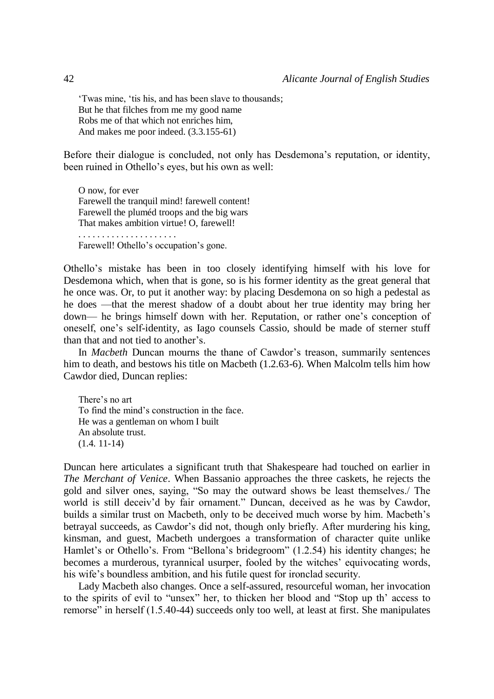'Twas mine, 'tis his, and has been slave to thousands; But he that filches from me my good name Robs me of that which not enriches him, And makes me poor indeed. (3.3.155-61)

Before their dialogue is concluded, not only has Desdemona's reputation, or identity, been ruined in Othello's eyes, but his own as well:

O now, for ever Farewell the tranquil mind! farewell content! Farewell the pluméd troops and the big wars That makes ambition virtue! O, farewell! . . . . . . . . . . . . . . . . . . . . .

Farewell! Othello's occupation's gone.

Othello's mistake has been in too closely identifying himself with his love for Desdemona which, when that is gone, so is his former identity as the great general that he once was. Or, to put it another way: by placing Desdemona on so high a pedestal as he does —that the merest shadow of a doubt about her true identity may bring her down— he brings himself down with her. Reputation, or rather one's conception of oneself, one's self-identity, as Iago counsels Cassio, should be made of sterner stuff than that and not tied to another's.

In *Macbeth* Duncan mourns the thane of Cawdor's treason, summarily sentences him to death, and bestows his title on Macbeth (1.2.63-6). When Malcolm tells him how Cawdor died, Duncan replies:

There's no art To find the mind's construction in the face. He was a gentleman on whom I built An absolute trust. (1.4. 11-14)

Duncan here articulates a significant truth that Shakespeare had touched on earlier in *The Merchant of Venice*. When Bassanio approaches the three caskets, he rejects the gold and silver ones, saying, "So may the outward shows be least themselves./ The world is still deceiv'd by fair ornament." Duncan, deceived as he was by Cawdor, builds a similar trust on Macbeth, only to be deceived much worse by him. Macbeth's betrayal succeeds, as Cawdor's did not, though only briefly. After murdering his king, kinsman, and guest, Macbeth undergoes a transformation of character quite unlike Hamlet's or Othello's. From "Bellona's bridegroom" (1.2.54) his identity changes; he becomes a murderous, tyrannical usurper, fooled by the witches' equivocating words, his wife's boundless ambition, and his futile quest for ironclad security.

Lady Macbeth also changes. Once a self-assured, resourceful woman, her invocation to the spirits of evil to "unsex" her, to thicken her blood and "Stop up th' access to remorse" in herself (1.5.40-44) succeeds only too well, at least at first. She manipulates